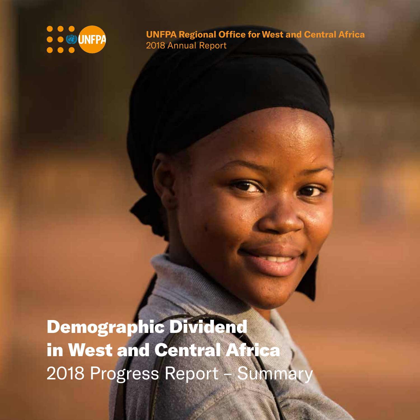

**UNFPA Regional Office for West and Central Africa**  2018 Annual Report

Demographic Dividend in West and Central Africa 2018 Progress Report – Summary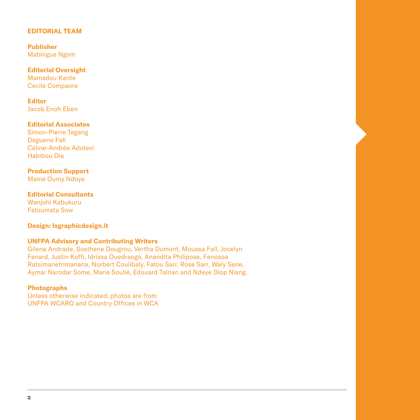#### **EDITORIAL TEAM**

**Publisher** Mabingue Ngom

#### **Editorial Oversight** Mamadou Kante Cecile Compaore

**Editor** Jacob Enoh Eben

#### **Editorial Associates**

Simon-Pierre Tegang Deguene Fall Céline-Andrée Adotevi Habibou Dia

#### **Production Support**

Mame Oumy Ndoye

#### **Editorial Consultants**

Wanjohi Kabukuru Fatoumata Sow

#### **Design: lsgraphicdesign.it**

#### **UNFPA Advisory and Contributing Writers**

Gilena Andrade, Sosthene Dougrou, Vertha Dumont, Moussa Fall, Jocelyn Fenard, Justin Koffi, Idrissa Ouedraogo, Anandita Philipose, Fenosoa Ratsimanetrimanana, Norbert Coulibaly, Fatou Sarr, Rose Sarr, Waly Sene, Aymar Narodar Some, Marie Soulié, Edouard Talnan and Ndeye Diop Niang.

#### **Photographs**

Unless otherwise indicated, photos are from UNFPA WCARO and Country Offices in WCA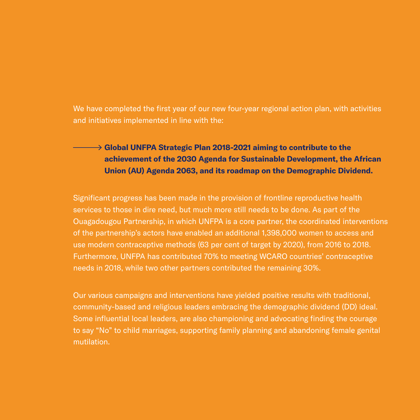We have completed the first year of our new four-year regional action plan, with activities and initiatives implemented in line with the:

### **Global UNFPA Strategic Plan 2018-2021 aiming to contribute to the achievement of the 2030 Agenda for Sustainable Development, the African Union (AU) Agenda 2063, and its roadmap on the Demographic Dividend.**

Significant progress has been made in the provision of frontline reproductive health services to those in dire need, but much more still needs to be done. As part of the Ouagadougou Partnership, in which UNFPA is a core partner, the coordinated interventions of the partnership's actors have enabled an additional 1,398,000 women to access and use modern contraceptive methods (63 per cent of target by 2020), from 2016 to 2018. Furthermore, UNFPA has contributed 70% to meeting WCARO countries' contraceptive needs in 2018, while two other partners contributed the remaining 30%.

Our various campaigns and interventions have yielded positive results with traditional, community-based and religious leaders embracing the demographic dividend (DD) ideal. Some influential local leaders, are also championing and advocating finding the courage to say "No" to child marriages, supporting family planning and abandoning female genital mutilation.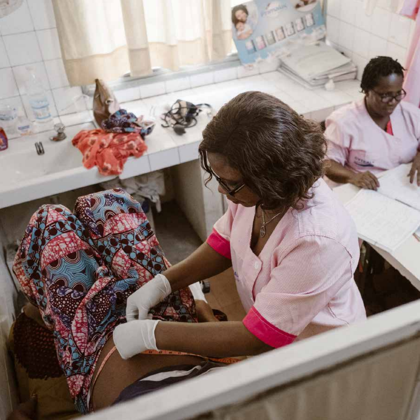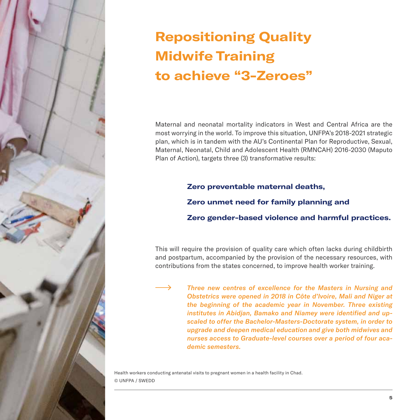

## **Repositioning Quality Midwife Training to achieve "3-Zeroes"**

Maternal and neonatal mortality indicators in West and Central Africa are the most worrying in the world. To improve this situation, UNFPA's 2018-2021 strategic plan, which is in tandem with the AU's Continental Plan for Reproductive, Sexual, Maternal, Neonatal, Child and Adolescent Health (RMNCAH) 2016-2030 (Maputo Plan of Action), targets three (3) transformative results:

#### **Zero preventable maternal deaths,**

**Zero unmet need for family planning and** 

**Zero gender-based violence and harmful practices.**

This will require the provision of quality care which often lacks during childbirth and postpartum, accompanied by the provision of the necessary resources, with contributions from the states concerned, to improve health worker training.

*Three new centres of excellence for the Masters in Nursing and Obstetrics were opened in 2018 in Côte d'Ivoire, Mali and Niger at the beginning of the academic year in November. Three existing institutes in Abidjan, Bamako and Niamey were identified and upscaled to offer the Bachelor-Masters-Doctorate system, in order to upgrade and deepen medical education and give both midwives and nurses access to Graduate-level courses over a period of four academic semesters.*

Health workers conducting antenatal visits to pregnant women in a health facility in Chad. © UNFPA / SWEDD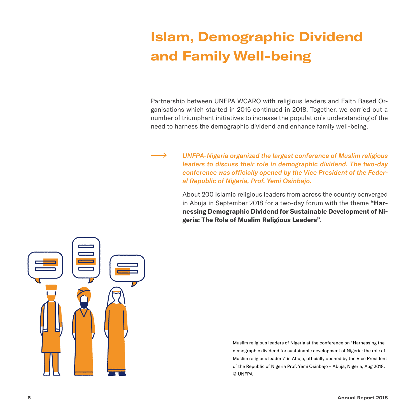### **Islam, Demographic Dividend and Family Well-being**

Partnership between UNFPA WCARO with religious leaders and Faith Based Organisations which started in 2015 continued in 2018. Together, we carried out a number of triumphant initiatives to increase the population's understanding of the need to harness the demographic dividend and enhance family well-being.

> *UNFPA-Nigeria organized the largest conference of Muslim religious leaders to discuss their role in demographic dividend. The two-day conference was officially opened by the Vice President of the Federal Republic of Nigeria, Prof. Yemi Osinbajo.*

> About 200 Islamic religious leaders from across the country converged in Abuja in September 2018 for a two-day forum with the theme **"Harnessing Demographic Dividend for Sustainable Development of Nigeria: The Role of Muslim Religious Leaders"**.



Muslim religious leaders of Nigeria at the conference on "Harnessing the demographic dividend for sustainable development of Nigeria: the role of Muslim religious leaders" in Abuja, officially opened by the Vice President of the Republic of Nigeria Prof. Yemi Osinbajo – Abuja, Nigeria, Aug 2018. © UNFPA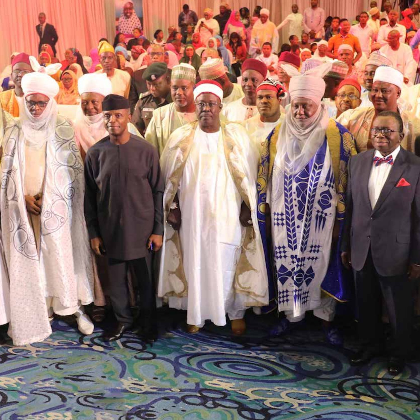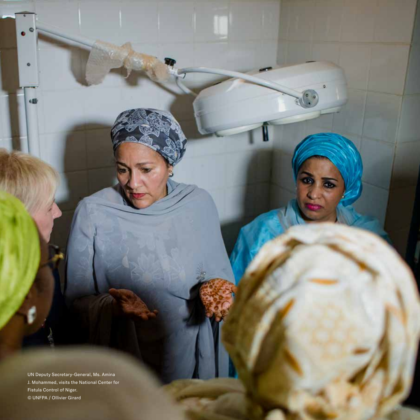**8 Annual Report 2018** © UNFPA / Ollivier GirardUN Deputy Secretary-General, Ms. Amina J. Mohammed, visits the National Center for Fistula Control of Niger.

(話

o.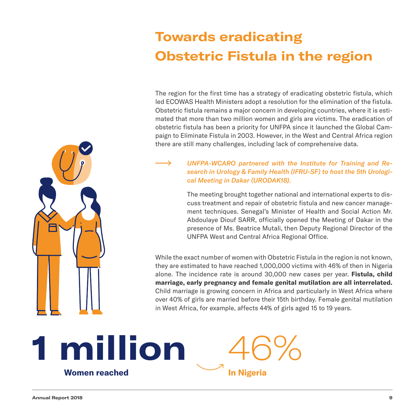## **Towards eradicating Obstetric Fistula in the region**

The region for the first time has a strategy of eradicating obstetric fistula, which led ECOWAS Health Ministers adopt a resolution for the elimination of the fistula. Obstetric fistula remains a major concern in developing countries, where it is estimated that more than two million women and girls are victims. The eradication of obstetric fistula has been a priority for UNFPA since it launched the Global Campaign to Eliminate Fistula in 2003. However, in the West and Central Africa region there are still many challenges, including lack of comprehensive data.

 *UNFPA-WCARO partnered with the Institute for Training and Research in Urology & Family Health (IFRU-SF) to host the 5th Urological Meeting in Dakar (URODAK18).*

The meeting brought together national and international experts to discuss treatment and repair of obstetric fistula and new cancer management techniques. Senegal's Minister of Health and Social Action Mr. Abdoulaye Diouf SARR, officially opened the Meeting of Dakar in the presence of Ms. Beatrice Mutali, then Deputy Regional Director of the UNFPA West and Central Africa Regional Office.

While the exact number of women with Obstetric Fistula in the region is not known, they are estimated to have reached 1,000,000 victims with 46% of then in Nigeria alone. The incidence rate is around 30,000 new cases per year. **Fistula, child marriage, early pregnancy and female genital mutilation are all interrelated.** Child marriage is growing concern in Africa and particularly in West Africa where over 40% of girls are married before their 15th birthday. Female genital mutilation in West Africa, for example, affects 44% of girls aged 15 to 19 years.



million **Women reached In Nigeria**

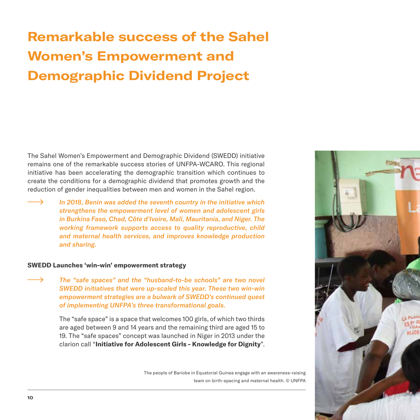# **Remarkable success of the Sahel Women's Empowerment and Demographic Dividend Project**

The Sahel Women's Empowerment and Demographic Dividend (SWEDD) initiative remains one of the remarkable success stories of UNFPA-WCARO. This regional initiative has been accelerating the demographic transition which continues to create the conditions for a demographic dividend that promotes growth and the reduction of gender inequalities between men and women in the Sahel region.

*In 2018, Benin was added the seventh country in the initiative which strengthens the empowerment level of women and adolescent girls in Burkina Faso, Chad, Côte d'Ivoire, Mali, Mauritania, and Niger. The working framework supports access to quality reproductive, child and maternal health services, and improves knowledge production and sharing.* 

#### **SWEDD Launches 'win-win' empowerment strategy**

*The "safe spaces" and the "husband-to-be schools" are two novel SWEDD initiatives that were up-scaled this year. These two win-win empowerment strategies are a bulwark of SWEDD's continued quest of implementing UNFPA's three transformational goals.*

 The "safe space" is a space that welcomes 100 girls, of which two thirds are aged between 9 and 14 years and the remaining third are aged 15 to 19. The "safe spaces" concept was launched in Niger in 2013 under the clarion call "**Initiative for Adolescent Girls - Knowledge for Dignity**".

> The people of Bariobe in Equatorial Guinea engage with an awareness-raising team on birth-spacing and maternal health. © UNFPA

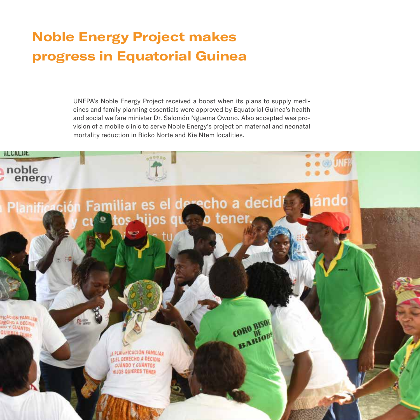### **Noble Energy Project makes progress in Equatorial Guinea**

UNFPA's Noble Energy Project received a boost when its plans to supply medicines and family planning essentials were approved by Equatorial Guinea's health and social welfare minister Dr. Salomón Nguema Owono. Also accepted was provision of a mobile clinic to serve Noble Energy's project on maternal and neonatal mortality reduction in Bioko Norte and Kie Ntem localities.

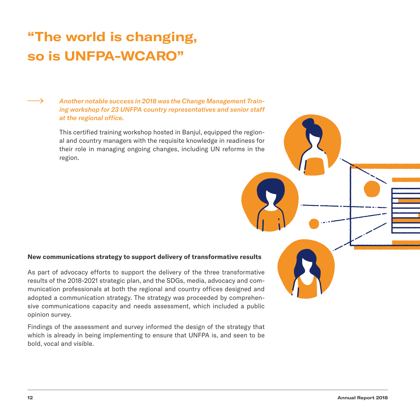## **"The world is changing, so is UNFPA-WCARO"**

*Another notable success in 2018 was the Change Management Training workshop for 23 UNFPA country representatives and senior staff at the regional office.* 

 This certified training workshop hosted in Banjul, equipped the regional and country managers with the requisite knowledge in readiness for their role in managing ongoing changes, including UN reforms in the region.

#### **New communications strategy to support delivery of transformative results**

As part of advocacy efforts to support the delivery of the three transformative results of the 2018-2021 strategic plan, and the SDGs, media, advocacy and communication professionals at both the regional and country offices designed and adopted a communication strategy. The strategy was proceeded by comprehensive communications capacity and needs assessment, which included a public opinion survey.

Findings of the assessment and survey informed the design of the strategy that which is already in being implementing to ensure that UNFPA is, and seen to be bold, vocal and visible.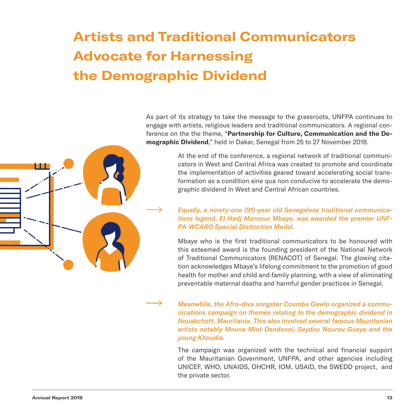# **Artists and Traditional Communicators Advocate for Harnessing the Demographic Dividend**

As part of its strategy to take the message to the grassroots, UNFPA continues to engage with artists, religious leaders and traditional communicators. A regional conference on the the theme, "**Partnership for Culture, Communication and the Demographic Dividend**," held in Dakar, Senegal from 25 to 27 November 2018.

> At the end of the conference, a regional network of traditional communicators in West and Central Africa was created to promote and coordinate the implementation of activities geared toward accelerating social transformation as a condition sine qua non conducive to accelerate the demographic dividend in West and Central African countries.

#### *Equally, a ninety-one (91)-year old Senegalese traditional communications legend, El Hadj Mansour Mbaye, was awarded the premier UNF-PA-WCARO Special Distinction Medal.*

 Mbaye who is the first traditional communicators to be honoured with this esteemed award is the founding president of the National Network of Traditional Communicators (RENACOT) of Senegal. The glowing citation acknowledges Mbaye's lifelong commitment to the promotion of good health for mother and child and family planning, with a view of eliminating preventable maternal deaths and harmful gender practices in Senegal.

*Meanwhile, the Afro-diva songster Coumba Gawlo organized a communications campaign on themes relating to the demographic dividend in Nouakchott, Mauritania. This also involved several famous Mauritanian artists notably Mouna Mint Dendenni, Seydou Nourou Gueye and the young Khoudia.*

 The campaign was organized with the technical and financial support of the Mauritanian Government, UNFPA, and other agencies including UNICEF, WHO, UNAIDS, OHCHR, IOM, USAID, the SWEDD project, and the private sector.

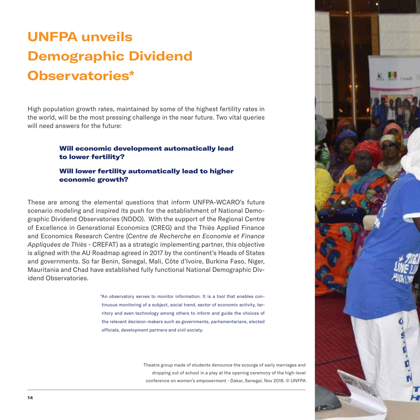# **UNFPA unveils Demographic Dividend Observatories\***

High population growth rates, maintained by some of the highest fertility rates in the world, will be the most pressing challenge in the near future. Two vital queries will need answers for the future:

#### Will economic development automatically lead to lower fertility?

#### Will lower fertility automatically lead to higher economic growth?

These are among the elemental questions that inform UNFPA-WCARO's future scenario modeling and inspired its push for the establishment of National Demographic Dividend Observatories (NDDO). With the support of the Regional Centre of Excellence in Generational Economics (CREG) and the Thiès Applied Finance and Economics Research Centre (*Centre de Recherche en Economie et Finance Appliquées de Thiès* - CREFAT) as a strategic implementing partner, this objective is aligned with the AU Roadmap agreed in 2017 by the continent's Heads of States and governments. So far Benin, Senegal, Mali, Côte d'Ivoire, Burkina Faso, Niger, Mauritania and Chad have established fully functional National Demographic Dividend Observatories.

> \*An observatory serves to monitor information. It is a tool that enables continuous monitoring of a subject, social trend, sector of economic activity, territory and even technology among others to inform and guide the choices of the relevant decision-makers such as governments, parliamentarians, elected officials, development partners and civil society.

> > Theatre group made of students denounce the scourge of early marriages and dropping out of school in a play at the opening ceremony of the high-level conference on women's empowerment - Dakar, Senegal, Nov 2018. © UNFPA

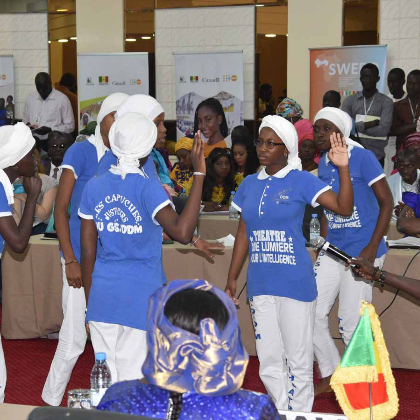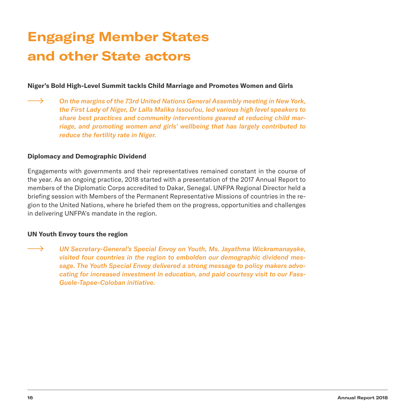### **Engaging Member States and other State actors**

#### **Niger's Bold High-Level Summit tackls Child Marriage and Promotes Women and Girls**

*On the margins of the 73rd United Nations General Assembly meeting in New York, the First Lady of Niger, Dr Lalla Malika Issoufou, led various high level speakers to share best practices and community interventions geared at reducing child marriage, and promoting women and girls' wellbeing that has largely contributed to reduce the fertility rate in Niger.*

#### **Diplomacy and Demographic Dividend**

Engagements with governments and their representatives remained constant in the course of the year. As an ongoing practice, 2018 started with a presentation of the 2017 Annual Report to members of the Diplomatic Corps accredited to Dakar, Senegal. UNFPA Regional Director held a briefing session with Members of the Permanent Representative Missions of countries in the region to the United Nations, where he briefed them on the progress, opportunities and challenges in delivering UNFPA's mandate in the region.

#### **UN Youth Envoy tours the region**

 $\rightarrow$ *UN Secretary-General's Special Envoy on Youth, Ms. Jayathma Wickramanayake, visited four countries in the region to embolden our demographic dividend message. The Youth Special Envoy delivered a strong message to policy makers advocating for increased investment in education, and paid courtesy visit to our Fass-Guele-Tapee-Coloban initiative.*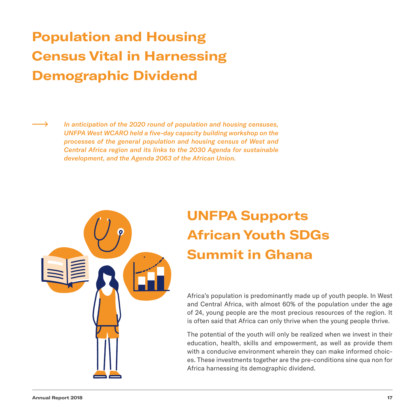# **Population and Housing Census Vital in Harnessing Demographic Dividend**

*In anticipation of the 2020 round of population and housing censuses, UNFPA West WCARO held a five-day capacity building workshop on the processes of the general population and housing census of West and Central Africa region and its links to the 2030 Agenda for sustainable development, and the Agenda 2063 of the African Union.* 



# **UNFPA Supports African Youth SDGs Summit in Ghana**

Africa's population is predominantly made up of youth people. In West and Central Africa, with almost 60% of the population under the age of 24, young people are the most precious resources of the region. It is often said that Africa can only thrive when the young people thrive.

The potential of the youth will only be realized when we invest in their education, health, skills and empowerment, as well as provide them with a conducive environment wherein they can make informed choices. These investments together are the pre-conditions sine qua non for Africa harnessing its demographic dividend.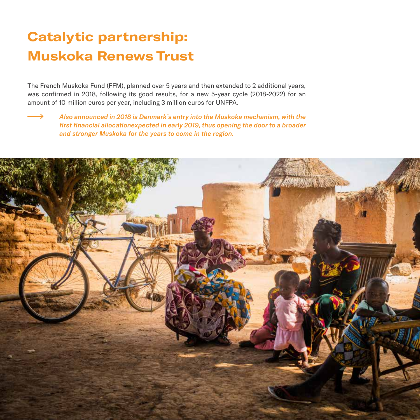### **Catalytic partnership: Muskoka Renews Trust**

The French Muskoka Fund (FFM), planned over 5 years and then extended to 2 additional years, was confirmed in 2018, following its good results, for a new 5-year cycle (2018-2022) for an amount of 10 million euros per year, including 3 million euros for UNFPA.

 *Also announced in 2018 is Denmark's entry into the Muskoka mechanism, with the first financial allocationexpected in early 2019, thus opening the door to a broader and stronger Muskoka for the years to come in the region.* 

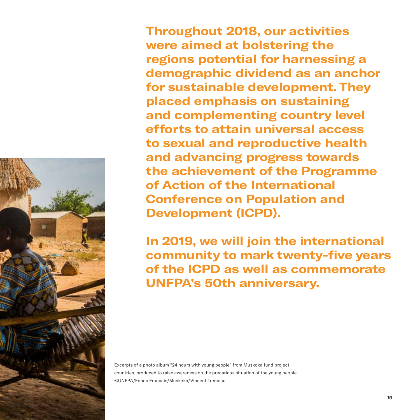

**Throughout 2018, our activities were aimed at bolstering the regions potential for harnessing a demographic dividend as an anchor for sustainable development. They placed emphasis on sustaining and complementing country level efforts to attain universal access to sexual and reproductive health and advancing progress towards the achievement of the Programme of Action of the International Conference on Population and Development (ICPD).** 

**In 2019, we will join the international community to mark twenty-five years of the ICPD as well as commemorate UNFPA's 50th anniversary.**

Excerpts of a photo album "24 hours with young people" from Muskoka fund project countries, produced to raise awareness on the precarious situation of the young people. ©UNFPA/Fonds Francais/Muskoka/Vincent Tremeau